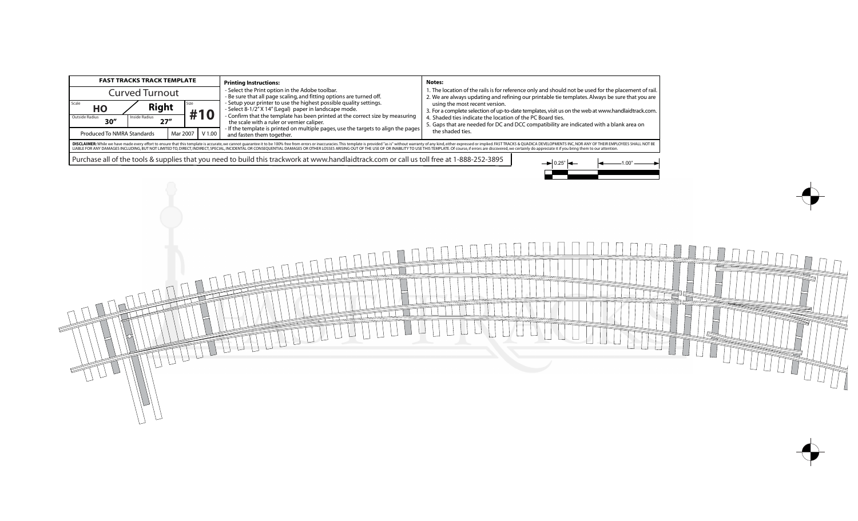